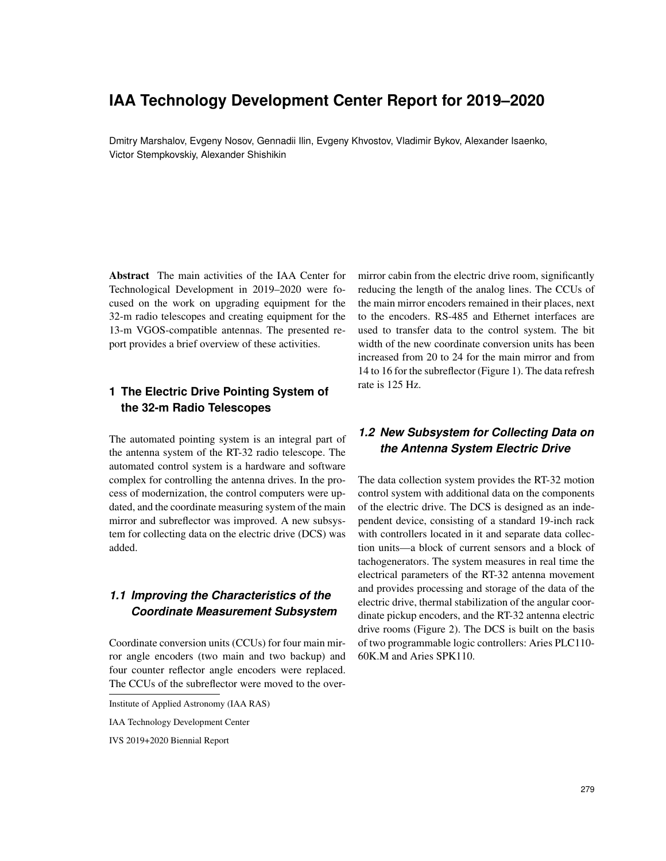# **IAA Technology Development Center Report for 2019–2020**

Dmitry Marshalov, Evgeny Nosov, Gennadii Ilin, Evgeny Khvostov, Vladimir Bykov, Alexander Isaenko, Victor Stempkovskiy, Alexander Shishikin

Abstract The main activities of the IAA Center for Technological Development in 2019–2020 were focused on the work on upgrading equipment for the 32-m radio telescopes and creating equipment for the 13-m VGOS-compatible antennas. The presented report provides a brief overview of these activities.

### **1 The Electric Drive Pointing System of the 32-m Radio Telescopes**

The automated pointing system is an integral part of the antenna system of the RT-32 radio telescope. The automated control system is a hardware and software complex for controlling the antenna drives. In the process of modernization, the control computers were updated, and the coordinate measuring system of the main mirror and subreflector was improved. A new subsystem for collecting data on the electric drive (DCS) was added.

### *1.1 Improving the Characteristics of the Coordinate Measurement Subsystem*

Coordinate conversion units (CCUs) for four main mirror angle encoders (two main and two backup) and four counter reflector angle encoders were replaced. The CCUs of the subreflector were moved to the overmirror cabin from the electric drive room, significantly reducing the length of the analog lines. The CCUs of the main mirror encoders remained in their places, next to the encoders. RS-485 and Ethernet interfaces are used to transfer data to the control system. The bit width of the new coordinate conversion units has been increased from 20 to 24 for the main mirror and from 14 to 16 for the subreflector (Figure 1). The data refresh rate is 125 Hz.

## *1.2 New Subsystem for Collecting Data on the Antenna System Electric Drive*

The data collection system provides the RT-32 motion control system with additional data on the components of the electric drive. The DCS is designed as an independent device, consisting of a standard 19-inch rack with controllers located in it and separate data collection units—a block of current sensors and a block of tachogenerators. The system measures in real time the electrical parameters of the RT-32 antenna movement and provides processing and storage of the data of the electric drive, thermal stabilization of the angular coordinate pickup encoders, and the RT-32 antenna electric drive rooms (Figure 2). The DCS is built on the basis of two programmable logic controllers: Aries PLC110- 60K.M and Aries SPK110.

Institute of Applied Astronomy (IAA RAS)

IAA Technology Development Center

IVS 2019+2020 Biennial Report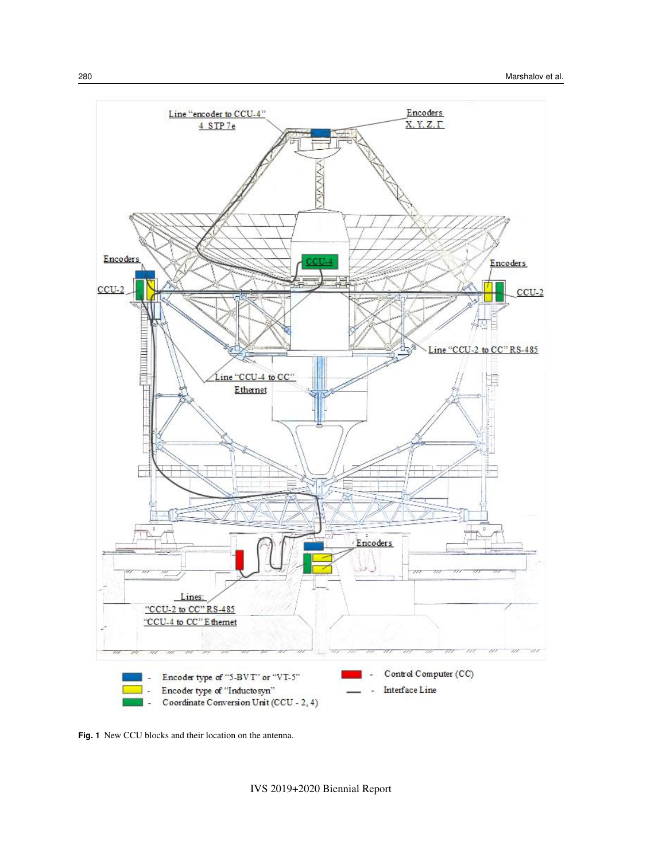

**Fig. 1** New CCU blocks and their location on the antenna.

IVS 2019+2020 Biennial Report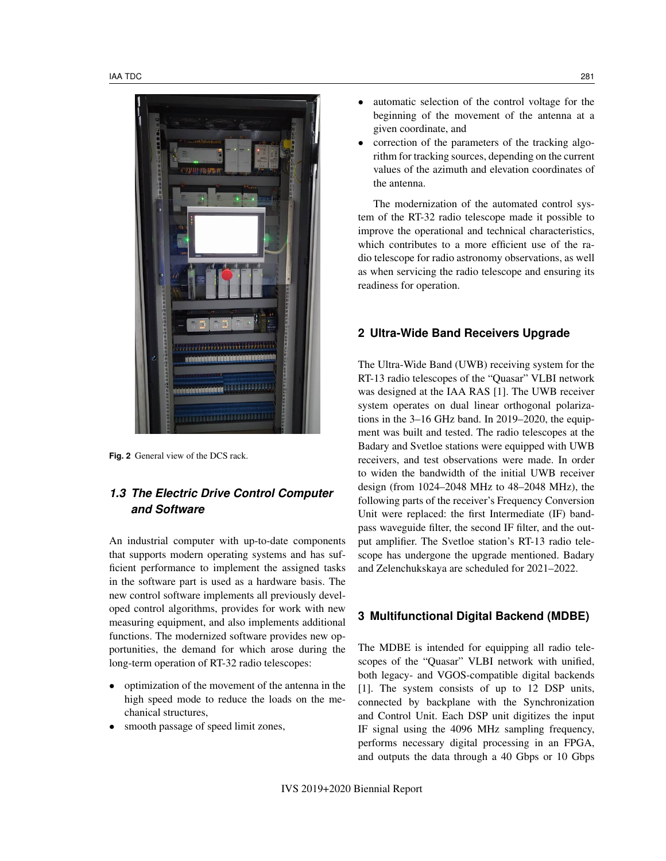

**Fig. 2** General view of the DCS rack.

#### *1.3 The Electric Drive Control Computer and Software*

An industrial computer with up-to-date components that supports modern operating systems and has sufficient performance to implement the assigned tasks in the software part is used as a hardware basis. The new control software implements all previously developed control algorithms, provides for work with new measuring equipment, and also implements additional functions. The modernized software provides new opportunities, the demand for which arose during the long-term operation of RT-32 radio telescopes:

- optimization of the movement of the antenna in the high speed mode to reduce the loads on the mechanical structures,
- smooth passage of speed limit zones,
- automatic selection of the control voltage for the beginning of the movement of the antenna at a given coordinate, and
- correction of the parameters of the tracking algorithm for tracking sources, depending on the current values of the azimuth and elevation coordinates of the antenna.

The modernization of the automated control system of the RT-32 radio telescope made it possible to improve the operational and technical characteristics, which contributes to a more efficient use of the radio telescope for radio astronomy observations, as well as when servicing the radio telescope and ensuring its readiness for operation.

#### **2 Ultra-Wide Band Receivers Upgrade**

The Ultra-Wide Band (UWB) receiving system for the RT-13 radio telescopes of the "Quasar" VLBI network was designed at the IAA RAS [1]. The UWB receiver system operates on dual linear orthogonal polarizations in the 3–16 GHz band. In 2019–2020, the equipment was built and tested. The radio telescopes at the Badary and Svetloe stations were equipped with UWB receivers, and test observations were made. In order to widen the bandwidth of the initial UWB receiver design (from 1024–2048 MHz to 48–2048 MHz), the following parts of the receiver's Frequency Conversion Unit were replaced: the first Intermediate (IF) bandpass waveguide filter, the second IF filter, and the output amplifier. The Svetloe station's RT-13 radio telescope has undergone the upgrade mentioned. Badary and Zelenchukskaya are scheduled for 2021–2022.

#### **3 Multifunctional Digital Backend (MDBE)**

The MDBE is intended for equipping all radio telescopes of the "Quasar" VLBI network with unified, both legacy- and VGOS-compatible digital backends [1]. The system consists of up to 12 DSP units, connected by backplane with the Synchronization and Control Unit. Each DSP unit digitizes the input IF signal using the 4096 MHz sampling frequency, performs necessary digital processing in an FPGA, and outputs the data through a 40 Gbps or 10 Gbps